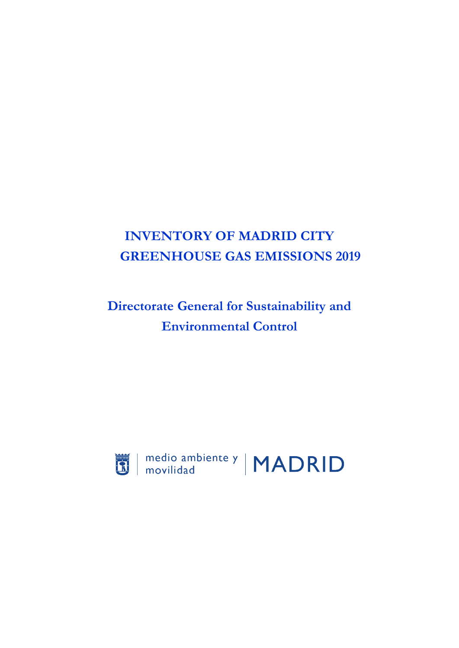# **INVENTORY OF MADRID CITY GREENHOUSE GAS EMISSIONS 2019**

# **Directorate General for Sustainability and Environmental Control**



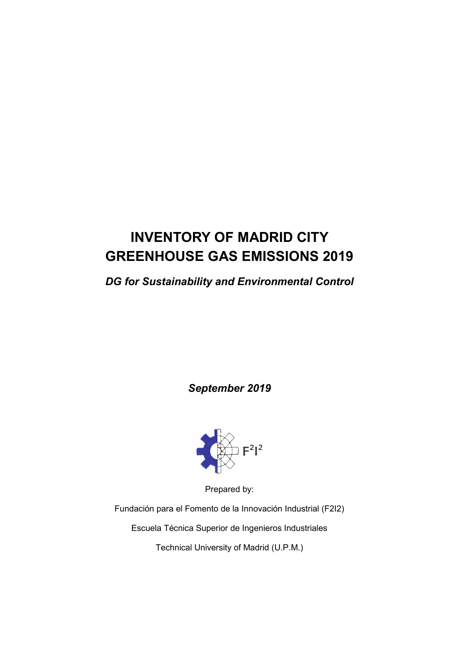# **INVENTORY OF MADRID CITY GREENHOUSE GAS EMISSIONS 2019**

# *DG for Sustainability and Environmental Control*

*September 2019*



Prepared by:

Fundación para el Fomento de la Innovación Industrial (F2I2)

Escuela Técnica Superior de Ingenieros Industriales

Technical University of Madrid (U.P.M.)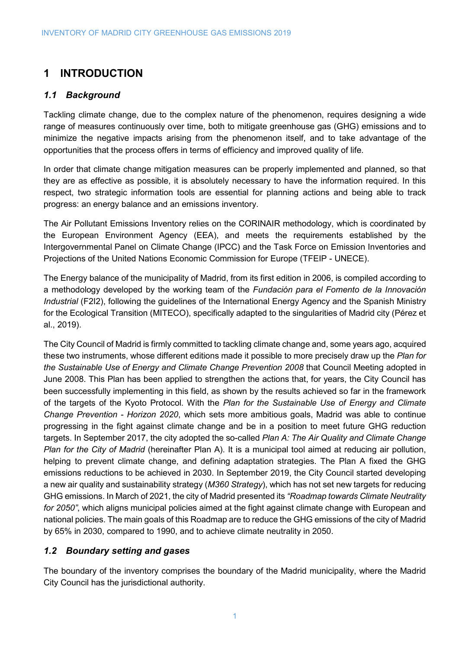## **1 INTRODUCTION**

## *1.1 Background*

Tackling climate change, due to the complex nature of the phenomenon, requires designing a wide range of measures continuously over time, both to mitigate greenhouse gas (GHG) emissions and to minimize the negative impacts arising from the phenomenon itself, and to take advantage of the opportunities that the process offers in terms of efficiency and improved quality of life.

In order that climate change mitigation measures can be properly implemented and planned, so that they are as effective as possible, it is absolutely necessary to have the information required. In this respect, two strategic information tools are essential for planning actions and being able to track progress: an energy balance and an emissions inventory.

The Air Pollutant Emissions Inventory relies on the CORINAIR methodology, which is coordinated by the European Environment Agency (EEA), and meets the requirements established by the Intergovernmental Panel on Climate Change (IPCC) and the Task Force on Emission Inventories and Projections of the United Nations Economic Commission for Europe (TFEIP - UNECE).

The Energy balance of the municipality of Madrid, from its first edition in 2006, is compiled according to a methodology developed by the working team of the *Fundación para el Fomento de la Innovación Industrial* (F2I2), following the guidelines of the International Energy Agency and the Spanish Ministry for the Ecological Transition (MITECO), specifically adapted to the singularities of Madrid city (Pérez et al., 2019).

The City Council of Madrid is firmly committed to tackling climate change and, some years ago, acquired these two instruments, whose different editions made it possible to more precisely draw up the *Plan for the Sustainable Use of Energy and Climate Change Prevention 2008* that Council Meeting adopted in June 2008. This Plan has been applied to strengthen the actions that, for years, the City Council has been successfully implementing in this field, as shown by the results achieved so far in the framework of the targets of the Kyoto Protocol. With the *Plan for the Sustainable Use of Energy and Climate Change Prevention - Horizon 2020*, which sets more ambitious goals, Madrid was able to continue progressing in the fight against climate change and be in a position to meet future GHG reduction targets. In September 2017, the city adopted the so-called *Plan A: The Air Quality and Climate Change Plan for the City of Madrid* (hereinafter Plan A). It is a municipal tool aimed at reducing air pollution, helping to prevent climate change, and defining adaptation strategies. The Plan A fixed the GHG emissions reductions to be achieved in 2030. In September 2019, the City Council started developing a new air quality and sustainability strategy (*M360 Strategy*), which has not set new targets for reducing GHG emissions. In March of 2021, the city of Madrid presented its *"Roadmap towards Climate Neutrality for 2050"*, which aligns municipal policies aimed at the fight against climate change with European and national policies. The main goals of this Roadmap are to reduce the GHG emissions of the city of Madrid by 65% in 2030, compared to 1990, and to achieve climate neutrality in 2050.

## *1.2 Boundary setting and gases*

The boundary of the inventory comprises the boundary of the Madrid municipality, where the Madrid City Council has the jurisdictional authority.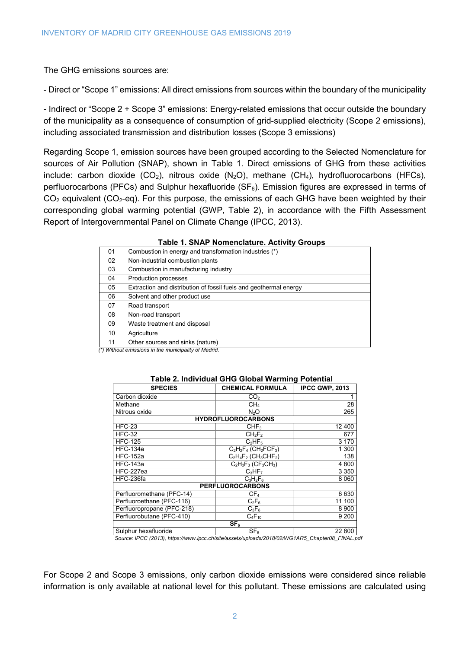The GHG emissions sources are:

- Direct or "Scope 1" emissions: All direct emissions from sources within the boundary of the municipality

- Indirect or "Scope 2 + Scope 3" emissions: Energy-related emissions that occur outside the boundary of the municipality as a consequence of consumption of grid-supplied electricity (Scope 2 emissions), including associated transmission and distribution losses (Scope 3 emissions)

Regarding Scope 1, emission sources have been grouped according to the Selected Nomenclature for sources of Air Pollution (SNAP), shown in [Table 1.](#page-3-0) Direct emissions of GHG from these activities include: carbon dioxide (CO<sub>2</sub>), nitrous oxide (N<sub>2</sub>O), methane (CH<sub>4</sub>), hydrofluorocarbons (HFCs), perfluorocarbons (PFCs) and Sulphur hexafluoride (SF $_6$ ). Emission figures are expressed in terms of  $CO<sub>2</sub>$  equivalent ( $CO<sub>2</sub>$ -eq). For this purpose, the emissions of each GHG have been weighted by their corresponding global warming potential (GWP, [Table 2\)](#page-3-1), in accordance with the Fifth Assessment Report of Intergovernmental Panel on Climate Change (IPCC, 2013).

<span id="page-3-0"></span>

| 01 | Combustion in energy and transformation industries (*)            |
|----|-------------------------------------------------------------------|
| 02 | Non-industrial combustion plants                                  |
| 03 | Combustion in manufacturing industry                              |
| 04 | Production processes                                              |
| 05 | Extraction and distribution of fossil fuels and geothermal energy |
| 06 | Solvent and other product use                                     |
| 07 | Road transport                                                    |
| 08 | Non-road transport                                                |
| 09 | Waste treatment and disposal                                      |
| 10 | Agriculture                                                       |
| 11 | Other sources and sinks (nature)                                  |
|    |                                                                   |

#### **Table 1. SNAP Nomenclature. Activity Groups**

<span id="page-3-1"></span>*(\*) Without emissions in the municipality of Madrid.*

| $\overline{\mathbf{a}}$ . The reduction of $\mathbf{b}$ or $\mathbf{b}$ and $\mathbf{c}$ and $\mathbf{c}$ . The reduction |                                                 |                       |  |  |  |  |  |
|---------------------------------------------------------------------------------------------------------------------------|-------------------------------------------------|-----------------------|--|--|--|--|--|
| <b>SPECIES</b>                                                                                                            | <b>CHEMICAL FORMULA</b>                         | <b>IPCC GWP, 2013</b> |  |  |  |  |  |
| Carbon dioxide                                                                                                            | CO <sub>2</sub>                                 |                       |  |  |  |  |  |
| Methane                                                                                                                   | CH4                                             | 28                    |  |  |  |  |  |
| Nitrous oxide                                                                                                             | N <sub>2</sub> O                                | 265                   |  |  |  |  |  |
|                                                                                                                           | <b>HYDROFLUOROCARBONS</b>                       |                       |  |  |  |  |  |
| <b>HFC-23</b>                                                                                                             | CHF <sub>3</sub>                                | 12 400                |  |  |  |  |  |
| <b>HFC-32</b>                                                                                                             | CH <sub>2</sub> F <sub>2</sub>                  | 677                   |  |  |  |  |  |
| <b>HFC-125</b>                                                                                                            | $C_2HF_5$                                       | 3 1 7 0               |  |  |  |  |  |
| <b>HFC-134a</b>                                                                                                           | $C_2H_2F_4$ (CH <sub>2</sub> FCF <sub>3</sub> ) | 1 300                 |  |  |  |  |  |
| <b>HFC-152a</b>                                                                                                           | $C_2H_4F_2$ (CH <sub>3</sub> CHF <sub>2</sub> ) | 138                   |  |  |  |  |  |
| <b>HFC-143a</b>                                                                                                           | $C_2H_3F_3$ (CF <sub>3</sub> CH <sub>3</sub> )  | 4 800                 |  |  |  |  |  |
| HFC-227ea                                                                                                                 | $C_3HF_7$                                       | 3 3 5 0               |  |  |  |  |  |
| HFC-236fa                                                                                                                 | $C_3H_2F_6$                                     | 8 0 6 0               |  |  |  |  |  |
|                                                                                                                           | <b>PERFLUOROCARBONS</b>                         |                       |  |  |  |  |  |
| Perfluoromethane (PFC-14)                                                                                                 | CF <sub>4</sub>                                 | 6630                  |  |  |  |  |  |
| Perfluoroethane (PFC-116)                                                                                                 | $C_2F_6$                                        | 11 100                |  |  |  |  |  |
| Perfluoropropane (PFC-218)                                                                                                | $C_3F_8$                                        | 8 9 0 0               |  |  |  |  |  |
| Perfluorobutane (PFC-410)                                                                                                 | $C_4F_{10}$                                     | 9 200                 |  |  |  |  |  |
|                                                                                                                           | SF <sub>6</sub>                                 |                       |  |  |  |  |  |
| Sulphur hexafluoride                                                                                                      | SF <sub>6</sub>                                 | 22 800                |  |  |  |  |  |

#### **Table 2. Individual GHG Global Warming Potential**

*Source: IPCC (2013), https://www.ipcc.ch/site/assets/uploads/2018/02/WG1AR5\_Chapter08\_FINAL.pdf*

For Scope 2 and Scope 3 emissions, only carbon dioxide emissions were considered since reliable information is only available at national level for this pollutant. These emissions are calculated using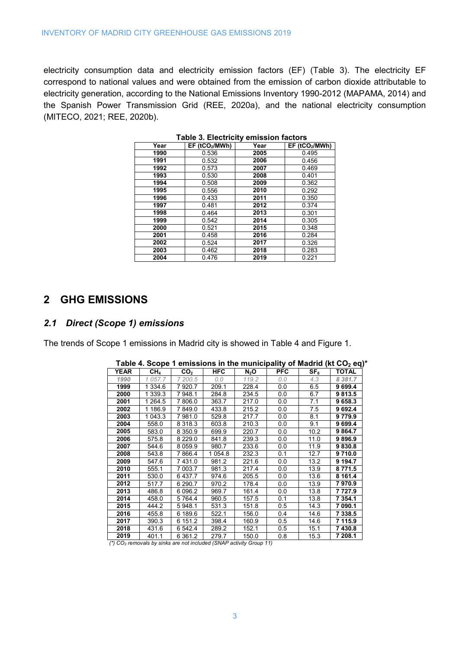<span id="page-4-0"></span>electricity consumption data and electricity emission factors (EF) [\(Table 3\)](#page-4-0). The electricity EF correspond to national values and were obtained from the emission of carbon dioxide attributable to electricity generation, according to the National Emissions Inventory 1990-2012 (MAPAMA, 2014) and the Spanish Power Transmission Grid (REE, 2020a), and the national electricity consumption (MITECO, 2021; REE, 2020b).

| Year | EF (tCO <sub>2</sub> /MWh) | Year | EF (tCO <sub>2</sub> /MWh) |
|------|----------------------------|------|----------------------------|
| 1990 | 0.536                      | 2005 | 0.495                      |
| 1991 | 0.532                      | 2006 | 0.456                      |
| 1992 | 0.573                      | 2007 | 0.469                      |
| 1993 | 0.530                      | 2008 | 0.401                      |
| 1994 | 0.508                      | 2009 | 0.362                      |
| 1995 | 0.556                      | 2010 | 0.292                      |
| 1996 | 0.433                      | 2011 | 0.350                      |
| 1997 | 0.481                      | 2012 | 0.374                      |
| 1998 | 0.464                      | 2013 | 0.301                      |
| 1999 | 0.542                      | 2014 | 0.305                      |
| 2000 | 0.521                      | 2015 | 0.348                      |
| 2001 | 0.458                      | 2016 | 0.284                      |
| 2002 | 0.524                      | 2017 | 0.326                      |
| 2003 | 0.462                      | 2018 | 0.283                      |
| 2004 | 0.476                      | 2019 | 0.221                      |

**Table 3. Electricity emission factors**

## **GHG EMISSIONS**

#### *2.1 Direct (Scope 1) emissions*

<span id="page-4-1"></span>The trends of Scope 1 emissions in Madrid city is showed in [Table 4](#page-4-1) and [Figure 1.](#page-5-0)

|             |             |                 |            |                  |            |                 | $\frac{1}{2}$ able 4. Scope T emissions in the municipality of Magnu (Kt CO $_2$ eq) |
|-------------|-------------|-----------------|------------|------------------|------------|-----------------|--------------------------------------------------------------------------------------|
| <b>YEAR</b> | $CH_4$      | CO <sub>2</sub> | <b>HFC</b> | N <sub>2</sub> O | <b>PFC</b> | SF <sub>6</sub> | <b>TOTAL</b>                                                                         |
| 1990        | 1 057.7     | 7 200.5         | 0.0        | 119.2            | 0.0        | 4.3             | 8 3 8 1 . 7                                                                          |
| 1999        | 1 3 3 4 . 6 | 7920.7          | 209.1      | 228.4            | 0.0        | 6.5             | 9 699.4                                                                              |
| 2000        | 1 339.3     | 7948.1          | 284.8      | 234.5            | 0.0        | 6.7             | 9813.5                                                                               |
| 2001        | 1 264.5     | 7 806.0         | 363.7      | 217.0            | 0.0        | 7.1             | 9 658.3                                                                              |
| 2002        | 1 186.9     | 7849.0          | 433.8      | 215.2            | 0.0        | 7.5             | 9 692.4                                                                              |
| 2003        | 1 043.3     | 7981.0          | 529.8      | 217.7            | 0.0        | 8.1             | 9779.9                                                                               |
| 2004        | 558.0       | 8 3 1 8 . 3     | 603.8      | 210.3            | 0.0        | 9.1             | 9 699.4                                                                              |
| 2005        | 583.0       | 8 3 5 0.9       | 699.9      | 220.7            | 0.0        | 10.2            | 9 8 64.7                                                                             |
| 2006        | 575.8       | 8 2 2 9 . 0     | 841.8      | 239.3            | 0.0        | 11.0            | 9896.9                                                                               |
| 2007        | 544.6       | 8 0 5 9.9       | 980.7      | 233.6            | 0.0        | 11.9            | 9830.8                                                                               |
| 2008        | 543.8       | 7 866.4         | 1 054.8    | 232.3            | 0.1        | 12.7            | 9710.0                                                                               |
| 2009        | 547.6       | 7431.0          | 981.2      | 221.6            | 0.0        | 13.2            | 9 194.7                                                                              |
| 2010        | 555.1       | 7 003.7         | 981.3      | 217.4            | 0.0        | 13.9            | 8771.5                                                                               |
| 2011        | 530.0       | 6437.7          | 974.6      | 205.5            | 0.0        | 13.6            | 8 161.4                                                                              |
| 2012        | 517.7       | 6 290.7         | 970.2      | 178.4            | 0.0        | 13.9            | 7970.9                                                                               |
| 2013        | 486.8       | 6 0 9 6.2       | 969.7      | 161.4            | 0.0        | 13.8            | 7 727.9                                                                              |
| 2014        | 458.0       | 5 7 64.4        | 960.5      | 157.5            | 0.1        | 13.8            | 7 354.1                                                                              |
| 2015        | 444.2       | 5948.1          | 531.3      | 151.8            | 0.5        | 14.3            | 7 090.1                                                                              |
| 2016        | 455.8       | 6 189.6         | 522.1      | 156.0            | 0.4        | 14.6            | 7 338.5                                                                              |
| 2017        | 390.3       | 6 151.2         | 398.4      | 160.9            | 0.5        | 14.6            | 7 115.9                                                                              |
| 2018        | 431.6       | 6 542.4         | 289.2      | 152.1            | 0.5        | 15.1            | 7430.8                                                                               |
| 2019        | 401.1       | 6 3 6 1 .2      | 279.7      | 150.0            | 0.8        | 15.3            | 7 208.1                                                                              |

|  | Table 4. Scope 1 emissions in the municipality of Madrid (kt $CO2$ eq)* |  |  |  |  |
|--|-------------------------------------------------------------------------|--|--|--|--|
|  |                                                                         |  |  |  |  |

*(\*) CO2 removals by sinks are not included (SNAP activity Group 11)*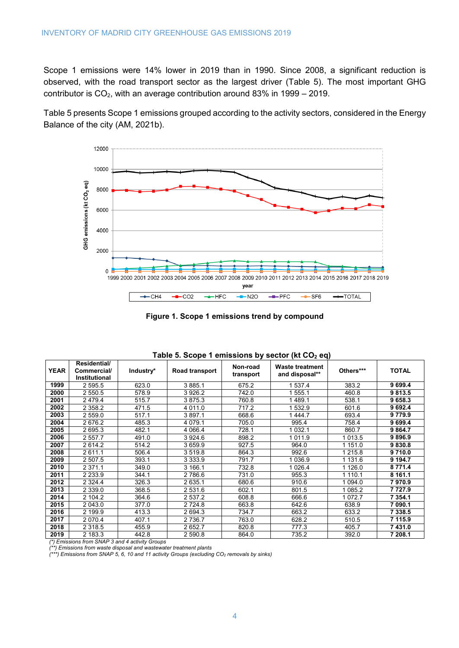Scope 1 emissions were 14% lower in 2019 than in 1990. Since 2008, a significant reduction is observed, with the road transport sector as the largest driver [\(Table 5\)](#page-5-1). The most important GHG contributor is  $CO<sub>2</sub>$ , with an average contribution around 83% in 1999 – 2019.

[Table 5](#page-5-1) presents Scope 1 emissions grouped according to the activity sectors, considered in the Energy Balance of the city (AM, 2021b).



**Figure 1. Scope 1 emissions trend by compound**

<span id="page-5-1"></span><span id="page-5-0"></span>

|             |                                                     |           | --- -----      |                       |                                          |             |              |
|-------------|-----------------------------------------------------|-----------|----------------|-----------------------|------------------------------------------|-------------|--------------|
| <b>YEAR</b> | Residential/<br>Commercial/<br><b>Institutional</b> | Industry* | Road transport | Non-road<br>transport | <b>Waste treatment</b><br>and disposal** | Others***   | <b>TOTAL</b> |
| 1999        | 2 5 9 5 .5                                          | 623.0     | 3885.1         | 675.2                 | 537.4                                    | 383.2       | 9 699.4      |
| 2000        | 2 550.5                                             | 578.9     | 3926.2         | 742.0                 | 555.1                                    | 460.8       | 9813.5       |
| 2001        | 2479.4                                              | 515.7     | 3875.3         | 760.8                 | 489.1                                    | 538.1       | 9 658.3      |
| 2002        | 2 3 5 8.2                                           | 471.5     | 4 0 1 1 .0     | 717.2                 | 532.9                                    | 601.6       | 9 692.4      |
| 2003        | 2 559.0                                             | 517.1     | 3897.1         | 668.6                 | 444.7                                    | 693.4       | 9779.9       |
| 2004        | 2676.2                                              | 485.3     | 4 0 7 9 . 1    | 705.0                 | 995.4                                    | 758.4       | 9 699.4      |
| 2005        | 2 695.3                                             | 482.1     | 4 066.4        | 728.1                 | 032.1                                    | 860.7       | 9 8 64.7     |
| 2006        | 2 557.7                                             | 491.0     | 3924.6         | 898.2                 | 011.9                                    | 013.5       | 9896.9       |
| 2007        | 2 6 1 4.2                                           | 514.2     | 3659.9         | 927.5                 | 964.0                                    | 1 151.0     | 9830.8       |
| 2008        | 2611.1                                              | 506.4     | 3519.8         | 864.3                 | 992.6                                    | 1 215.8     | 9 710.0      |
| 2009        | 2 507.5                                             | 393.1     | 3 3 3 3 . 9    | 791.7                 | 036.9                                    | 1 131.6     | 9 194.7      |
| 2010        | 2 3 7 1 . 1                                         | 349.0     | 3 166.1        | 732.8                 | 026.4                                    | 1 1 2 6 . 0 | 8 771.4      |
| 2011        | 2 2 3 3 .9                                          | 344.1     | 2 786.6        | 731.0                 | 955.3                                    | 1 1 1 0 . 1 | 8 161.1      |
| 2012        | 2 3 2 4 4                                           | 326.3     | 2635.1         | 680.6                 | 910.6                                    | 1 0 9 4.0   | 7970.9       |
| 2013        | 2 3 3 9 . 0                                         | 368.5     | 2531.6         | 602.1                 | 801.5                                    | 085.2       | 7 7 2 7 . 9  |
| 2014        | 2 104.2                                             | 364.6     | 2 537.2        | 608.8                 | 666.6                                    | 1072.7      | 7 354.1      |
| 2015        | 2 043.0                                             | 377.0     | 2 7 2 4.8      | 663.8                 | 642.6                                    | 638.9       | 7 090.1      |
| 2016        | 2 199.9                                             | 413.3     | 2694.3         | 734.7                 | 663.2                                    | 633.2       | 7 338.5      |
| 2017        | 2 0 7 0.4                                           | 407.1     | 2 7 3 6.7      | 763.0                 | 628.2                                    | 510.5       | 7 115.9      |
| 2018        | 2 3 1 8 .5                                          | 455.9     | 2652.7         | 820.8                 | 777.3                                    | 405.7       | 7 431.0      |
| 2019        | 2 183.3                                             | 442.8     | 2 590.8        | 864.0                 | 735.2                                    | 392.0       | 7 208.1      |

| Table 5. Scope 1 emissions by sector (kt CO <sub>2</sub> eq) |  |  |
|--------------------------------------------------------------|--|--|
|--------------------------------------------------------------|--|--|

*(\*) Emissions from SNAP 3 and 4 activity Groups*

*(\*\*) Emissions from waste disposal and wastewater treatment plants*

*(\*\*\*) Emissions from SNAP 5, 6, 10 and 11 activity Groups (excluding CO2 removals by sinks)*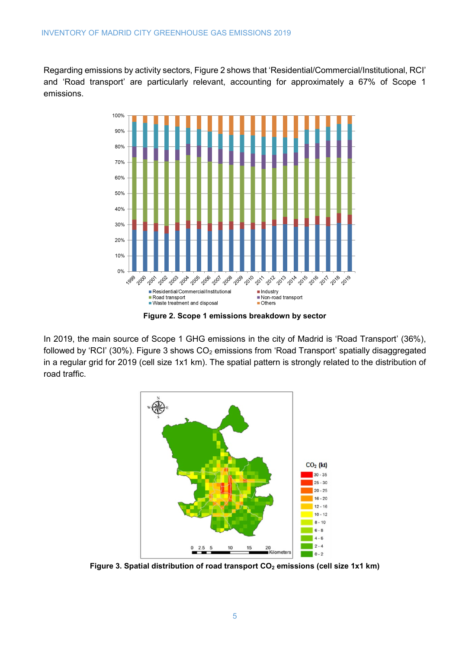Regarding emissions by activity sectors, [Figure 2](#page-6-0) shows that 'Residential/Commercial/Institutional, RCI' and 'Road transport' are particularly relevant, accounting for approximately a 67% of Scope 1 emissions.



**Figure 2. Scope 1 emissions breakdown by sector**

<span id="page-6-0"></span>In 2019, the main source of Scope 1 GHG emissions in the city of Madrid is 'Road Transport' (36%), followed by 'RCI' (30%). [Figure 3](#page-6-1) shows  $CO<sub>2</sub>$  emissions from 'Road Transport' spatially disaggregated in a regular grid for 2019 (cell size 1x1 km). The spatial pattern is strongly related to the distribution of road traffic.



<span id="page-6-1"></span>Figure 3. Spatial distribution of road transport CO<sub>2</sub> emissions (cell size 1x1 km)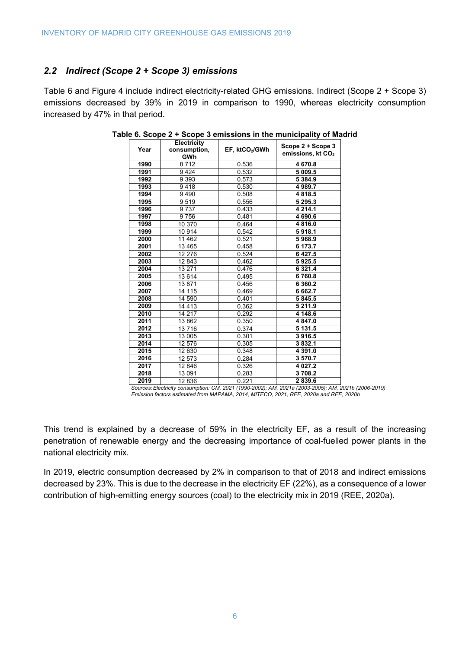### *2.2 Indirect (Scope 2 + Scope 3) emissions*

<span id="page-7-0"></span>[Table 6](#page-7-0) and [Figure 4](#page-8-0) include indirect electricity-related GHG emissions. Indirect (Scope 2 + Scope 3) emissions decreased by 39% in 2019 in comparison to 1990, whereas electricity consumption increased by 47% in that period.

| Year | <b>Electricity</b><br>consumption,<br>GWh | EF, ktCO2/GWh | Scope 2 + Scope 3<br>emissions, kt CO <sub>2</sub> |
|------|-------------------------------------------|---------------|----------------------------------------------------|
| 1990 | 8712                                      | 0.536         | 4670.8                                             |
| 1991 | 9424                                      | 0.532         | 5 009.5                                            |
| 1992 | 9 3 9 3                                   | 0.573         | 5 3 8 4 9                                          |
| 1993 | 9418                                      | 0.530         | 4989.7                                             |
| 1994 | 9490                                      | 0.508         | 4818.5                                             |
| 1995 | 9519                                      | 0.556         | 5 295.3                                            |
| 1996 | 9737                                      | 0.433         | 4 2 1 4 1                                          |
| 1997 | 9756                                      | 0.481         | 4 690.6                                            |
| 1998 | 10 370                                    | 0.464         | 4816.0                                             |
| 1999 | 10914                                     | 0.542         | 5918.1                                             |
| 2000 | 11 4 62                                   | 0.521         | 5968.9                                             |
| 2001 | 13 4 65                                   | 0.458         | 6 173.7                                            |
| 2002 | 12 276                                    | 0.524         | 6 4 2 7 .5                                         |
| 2003 | 12843                                     | 0.462         | 5925.5                                             |
| 2004 | 13 271                                    | 0.476         | 6 3 2 1.4                                          |
| 2005 | 13614                                     | 0.495         | 6760.8                                             |
| 2006 | 13871                                     | 0.456         | 6 3 6 0.2                                          |
| 2007 | 14 115                                    | 0.469         | 6 662.7                                            |
| 2008 | 14 590                                    | 0.401         | 5 845.5                                            |
| 2009 | 14 4 13                                   | 0.362         | 5 2 1 1.9                                          |
| 2010 | 14 217                                    | 0.292         | 4 148.6                                            |
| 2011 | 13862                                     | 0.350         | 4 847.0                                            |
| 2012 | 13716                                     | 0.374         | 5131.5                                             |
| 2013 | 13 005                                    | 0.301         | 3916.5                                             |
| 2014 | 12 576                                    | 0.305         | 3832.1                                             |
| 2015 | 12 630                                    | 0.348         | 4 3 9 1 .0                                         |
| 2016 | 12 573                                    | 0.284         | 3570.7                                             |
| 2017 | 12 846                                    | 0.326         | 4 0 27.2                                           |
| 2018 | 13 091                                    | 0.283         | 3708.2                                             |
| 2019 | 12836                                     | 0.221         | 2839.6                                             |

**Table 6. Scope 2 + Scope 3 emissions in the municipality of Madrid**

*Sources:Electricity consumption: CM, 2021 (1990-2002); AM, 2021a (2003-2005); AM, 2021b (2006-2019) Emission factors estimated from MAPAMA, 2014, MITECO, 2021, REE, 2020a and REE, 2020b*

This trend is explained by a decrease of 59% in the electricity EF, as a result of the increasing penetration of renewable energy and the decreasing importance of coal-fuelled power plants in the national electricity mix.

In 2019, electric consumption decreased by 2% in comparison to that of 2018 and indirect emissions decreased by 23%. This is due to the decrease in the electricity EF (22%), as a consequence of a lower contribution of high-emitting energy sources (coal) to the electricity mix in 2019 (REE, 2020a).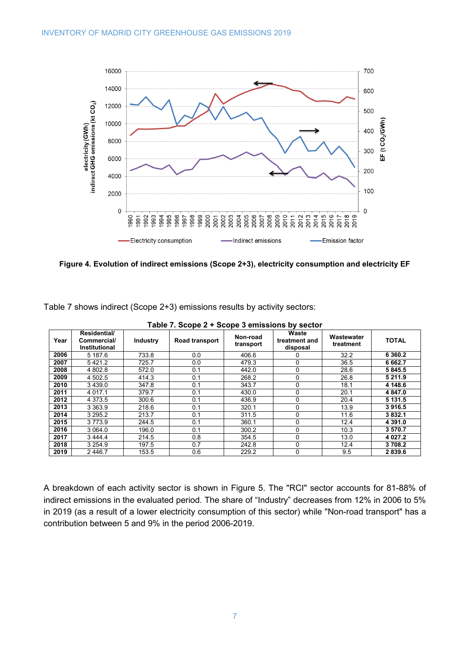

<span id="page-8-0"></span>**Figure 4. Evolution of indirect emissions (Scope 2+3), electricity consumption and electricity EF**

<span id="page-8-1"></span>[Table 7](#page-8-1) shows indirect (Scope 2+3) emissions results by activity sectors:

|      | $\frac{1}{2}$ and $\frac{1}{2}$ . Scope $\frac{1}{2}$ + Scope 3 emissions by Sector |                 |                |                       |                                    |                         |              |  |  |  |  |
|------|-------------------------------------------------------------------------------------|-----------------|----------------|-----------------------|------------------------------------|-------------------------|--------------|--|--|--|--|
| Year | Residential/<br>Commercial/<br><b>Institutional</b>                                 | <b>Industry</b> | Road transport | Non-road<br>transport | Waste<br>treatment and<br>disposal | Wastewater<br>treatment | <b>TOTAL</b> |  |  |  |  |
| 2006 | 5 187.6                                                                             | 733.8           | 0.0            | 406.6                 | 0                                  | 32.2                    | 6 3 6 0.2    |  |  |  |  |
| 2007 | 5421.2                                                                              | 725.7           | 0.0            | 479.3                 | 0                                  | 36.5                    | 6 662.7      |  |  |  |  |
| 2008 | 4 802.8                                                                             | 572.0           | 0.1            | 442.0                 | $\Omega$                           | 28.6                    | 5 845.5      |  |  |  |  |
| 2009 | 4 502.5                                                                             | 414.3           | 0.1            | 268.2                 | $\Omega$                           | 26.8                    | 5 2 1 1.9    |  |  |  |  |
| 2010 | 3439.0                                                                              | 347.8           | 0.1            | 343.7                 | 0                                  | 18.1                    | 4 148.6      |  |  |  |  |
| 2011 | 4 0 1 7 . 1                                                                         | 379.7           | 0.1            | 430.0                 | 0                                  | 20.1                    | 4 847.0      |  |  |  |  |
| 2012 | 4 3 7 3 .5                                                                          | 300.6           | 0.1            | 436.9                 | $\Omega$                           | 20.4                    | 5 131.5      |  |  |  |  |
| 2013 | 3 3 6 3 .9                                                                          | 218.6           | 0.1            | 320.1                 | $\Omega$                           | 13.9                    | 3916.5       |  |  |  |  |
| 2014 | 3 295.2                                                                             | 213.7           | 0.1            | 311.5                 | $\Omega$                           | 11.6                    | 3832.1       |  |  |  |  |
| 2015 | 3773.9                                                                              | 244.5           | 0.1            | 360.1                 | 0                                  | 12.4                    | 4 3 9 1 .0   |  |  |  |  |
| 2016 | 3 0 64.0                                                                            | 196.0           | 0.1            | 300.2                 | $\Omega$                           | 10.3                    | 3570.7       |  |  |  |  |
| 2017 | 3444.4                                                                              | 214.5           | 0.8            | 354.5                 | 0                                  | 13.0                    | 4 0 27.2     |  |  |  |  |
| 2018 | 3 2 5 4 9                                                                           | 197.5           | 0.7            | 242.8                 | 0                                  | 12.4                    | 3708.2       |  |  |  |  |
| 2019 | 2446.7                                                                              | 153.5           | 0.6            | 229.2                 | $\Omega$                           | 9.5                     | 2839.6       |  |  |  |  |

**Table 7. Scope 2 + Scope 3 emissions by sector**

A breakdown of each activity sector is shown in [Figure 5.](#page-9-0) The "RCI" sector accounts for 81-88% of indirect emissions in the evaluated period. The share of "Industry" decreases from 12% in 2006 to 5% in 2019 (as a result of a lower electricity consumption of this sector) while "Non-road transport" has a contribution between 5 and 9% in the period 2006-2019.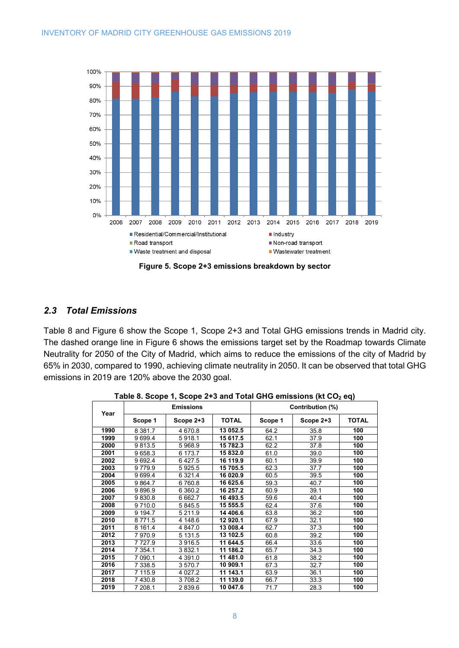

**Figure 5. Scope 2+3 emissions breakdown by sector**

## <span id="page-9-0"></span>*2.3 Total Emissions*

[Table 8](#page-9-1) and [Figure 6](#page-10-0) show the Scope 1, Scope 2+3 and Total GHG emissions trends in Madrid city. The dashed orange line in [Figure 6](#page-10-0) shows the emissions target set by the Roadmap towards Climate Neutrality for 2050 of the City of Madrid, which aims to reduce the emissions of the city of Madrid by 65% in 2030, compared to 1990, achieving climate neutrality in 2050. It can be observed that total GHG emissions in 2019 are 120% above the 2030 goal.

<span id="page-9-1"></span>

|      |           | <b>Emissions</b> |              | Contribution (%) |           |              |  |
|------|-----------|------------------|--------------|------------------|-----------|--------------|--|
| Year | Scope 1   | Scope 2+3        | <b>TOTAL</b> | Scope 1          | Scope 2+3 | <b>TOTAL</b> |  |
| 1990 | 8 3 8 1.7 | 4 670.8          | 13 052.5     | 64.2             | 35.8      | 100          |  |
| 1999 | 9699.4    | 5918.1           | 15 617.5     | 62.1             | 37.9      | 100          |  |
| 2000 | 9813.5    | 5968.9           | 15 782.3     | 62.2             | 37.8      | 100          |  |
| 2001 | 9658.3    | 6 173.7          | 15 832.0     | 61.0             | 39.0      | 100          |  |
| 2002 | 9692.4    | 6427.5           | 16 119.9     | 60.1             | 39.9      | 100          |  |
| 2003 | 9779.9    | 5925.5           | 15 705.5     | 62.3             | 37.7      | 100          |  |
| 2004 | 9699.4    | 6 3 2 1.4        | 16 020.9     | 60.5             | 39.5      | 100          |  |
| 2005 | 9 8 64.7  | 6760.8           | 16 625.6     | 59.3             | 40.7      | 100          |  |
| 2006 | 9896.9    | 6 3 6 0.2        | 16 257.2     | 60.9             | 39.1      | 100          |  |
| 2007 | 9830.8    | 6 6 6 2.7        | 16 493.5     | 59.6             | 40.4      | 100          |  |
| 2008 | 9710.0    | 5 845.5          | 15 555.5     | 62.4             | 37.6      | 100          |  |
| 2009 | 9 1 9 4.7 | 5 2 1 1.9        | 14 406.6     | 63.8             | 36.2      | 100          |  |
| 2010 | 8771.5    | 4 148.6          | 12 920.1     | 67.9             | 32.1      | 100          |  |
| 2011 | 8 1 6 1.4 | 4 847.0          | 13 008.4     | 62.7             | 37.3      | 100          |  |
| 2012 | 7970.9    | 5 1 3 1 . 5      | 13 102.5     | 60.8             | 39.2      | 100          |  |
| 2013 | 7727.9    | 3916.5           | 11 644.5     | 66.4             | 33.6      | 100          |  |
| 2014 | 7 354.1   | 3832.1           | 11 186.2     | 65.7             | 34.3      | 100          |  |
| 2015 | 7 090.1   | 4 3 9 1 .0       | 11 481.0     | 61.8             | 38.2      | 100          |  |
| 2016 | 7 338.5   | 3570.7           | 10 909.1     | 67.3             | 32.7      | 100          |  |
| 2017 | 7 115.9   | 4 0 27.2         | 11 143.1     | 63.9             | 36.1      | 100          |  |
| 2018 | 7430.8    | 3708.2           | 11 139.0     | 66.7             | 33.3      | 100          |  |
| 2019 | 7 208.1   | 2839.6           | 10 047.6     | 71.7             | 28.3      | 100          |  |

Table 8. Scope 1, Scope 2+3 and Total GHG emissions (kt CO<sub>2</sub> eq)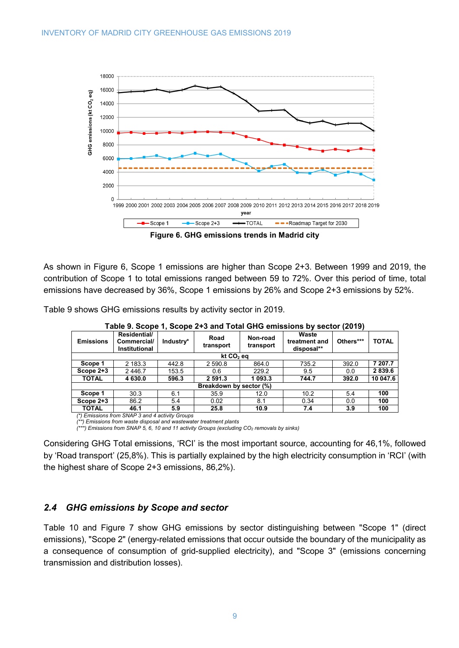

**Figure 6. GHG emissions trends in Madrid city**

<span id="page-10-0"></span>As shown in [Figure 6,](#page-10-0) Scope 1 emissions are higher than Scope 2+3. Between 1999 and 2019, the contribution of Scope 1 to total emissions ranged between 59 to 72%. Over this period of time, total emissions have decreased by 36%, Scope 1 emissions by 26% and Scope 2+3 emissions by 52%.

<span id="page-10-1"></span>[Table 9](#page-10-1) shows GHG emissions results by activity sector in 2019.

| <b>Emissions</b> | Residential/<br>Commercial/<br>Institutional | Industry* | Road<br>transport       | Non-road<br>transport | $\frac{1}{2}$ and $\frac{1}{2}$ . The state $\frac{1}{2}$ of $\frac{1}{2}$ and $\frac{1}{2}$ . The state $\frac{1}{2}$ of $\frac{1}{2}$ and $\frac{1}{2}$ is the state $\frac{1}{2}$<br>Waste<br>treatment and<br>disposal** | Others*** | <b>TOTAL</b> |  |  |  |  |
|------------------|----------------------------------------------|-----------|-------------------------|-----------------------|------------------------------------------------------------------------------------------------------------------------------------------------------------------------------------------------------------------------------|-----------|--------------|--|--|--|--|
|                  | kt CO <sub>2</sub> eq                        |           |                         |                       |                                                                                                                                                                                                                              |           |              |  |  |  |  |
| Scope 1          | 2 183.3                                      | 442.8     | 2 590.8                 | 864.0                 | 735.2                                                                                                                                                                                                                        | 392.0     | 7 207.7      |  |  |  |  |
| Scope 2+3        | 2446.7                                       | 153.5     | 0.6                     | 229.2                 | 9.5                                                                                                                                                                                                                          | 0.0       | 2 8 3 9 . 6  |  |  |  |  |
| <b>TOTAL</b>     | 4 630.0                                      | 596.3     | 2 591.3                 | 1 093.3               | 744.7                                                                                                                                                                                                                        | 392.0     | 10 047.6     |  |  |  |  |
|                  |                                              |           | Breakdown by sector (%) |                       |                                                                                                                                                                                                                              |           |              |  |  |  |  |
| Scope 1          | 30.3                                         | 6.1       | 35.9                    | 12.0                  | 10.2                                                                                                                                                                                                                         | 5.4       | 100          |  |  |  |  |
| Scope 2+3        | 86.2                                         | 5.4       | 0.02                    | 8.1                   | 0.34                                                                                                                                                                                                                         | 0.0       | 100          |  |  |  |  |
| <b>TOTAL</b>     | 46.1                                         | 5.9       | 25.8                    | 10.9                  | 7.4                                                                                                                                                                                                                          | 3.9       | 100          |  |  |  |  |

**Table 9. Scope 1, Scope 2+3 and Total GHG emissions by sector (2019)**

*(\*) Emissions from SNAP 3 and 4 activity Groups (\*\*) Emissions from waste disposal and wastewater treatment plants*

*(\*\*\*) Emissions from SNAP 5, 6, 10 and 11 activity Groups (excluding CO2 removals by sinks)*

Considering GHG Total emissions, 'RCI' is the most important source, accounting for 46,1%, followed by 'Road transport' (25,8%). This is partially explained by the high electricity consumption in 'RCI' (with the highest share of Scope 2+3 emissions, 86,2%).

## *2.4 GHG emissions by Scope and sector*

[Table 10](#page-11-0) and [Figure 7](#page-12-0) show GHG emissions by sector distinguishing between "Scope 1" (direct emissions), "Scope 2" (energy-related emissions that occur outside the boundary of the municipality as a consequence of consumption of grid-supplied electricity), and "Scope 3" (emissions concerning transmission and distribution losses).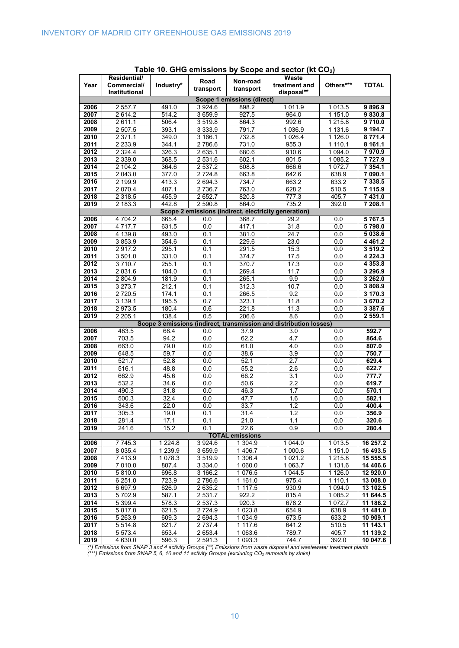<span id="page-11-0"></span>

| Year         | Residential/<br>Commercial/ | Industry*      | Road                    | Non-road                   | Waste<br>treatment and                                             | Others***             | <b>TOTAL</b>           |
|--------------|-----------------------------|----------------|-------------------------|----------------------------|--------------------------------------------------------------------|-----------------------|------------------------|
|              | Institutional               |                | transport               | transport                  | disposal**                                                         |                       |                        |
|              |                             |                |                         | Scope 1 emissions (direct) |                                                                    |                       |                        |
| 2006         | 2 557.7                     | 491.0          | 3924.6                  | 898.2                      | 1 0 1 1 .9                                                         | 1 0 1 3 .5            | 9896.9                 |
| 2007<br>2008 | 2614.2<br>2611.1            | 514.2<br>506.4 | 3 659.9<br>3519.8       | 927.5<br>864.3             | 964.0<br>992.6                                                     | 1 151.0<br>1 2 1 5 .8 | 9830.8<br>9710.0       |
| 2009         | 2 507.5                     | 393.1          | 3 3 3 3 9               | 791.7                      | 1 0 3 6.9                                                          | 1 131.6               | 9 194.7                |
| 2010         | 2 371.1                     | 349.0          | 3 166.1                 | 732.8                      | 1 0 26.4                                                           | 1 1 2 6 .0            | 8771.4                 |
| 2011         | 2 2 3 3 . 9                 | 344.1          | 2786.6                  | 731.0                      | 955.3                                                              | 1 1 1 0 . 1           | 8161.1                 |
| 2012         | 2 3 2 4 4                   | 326.3          | 2 635.1                 | 680.6                      | 910.6                                                              | 1 0 9 4 .0            | 7970.9                 |
| 2013         | 2 3 3 9 . 0                 | 368.5          | 2 531.6                 | 602.1                      | 801.5                                                              | 1 085.2               | 7727.9                 |
| 2014         | 2 104.2                     | 364.6          | 2 537.2                 | 608.8                      | 666.6                                                              | 1072.7                | 7 354.1                |
| 2015         | 2 043.0                     | 377.0          | 2 724.8                 | 663.8                      | 642.6                                                              | 638.9                 | 7 090.1                |
| 2016         | 2 199.9                     | 413.3          | 2 694.3                 | 734.7                      | 663.2                                                              | 633.2                 | 7 338.5                |
| 2017         | 2 0 7 0.4                   | 407.1          | 2 7 3 6.7               | 763.0                      | 628.2                                                              | 510.5                 | 7 115.9                |
| 2018         | 2 3 1 8 .5                  | 455.9          | 2 652.7                 | 820.8                      | 777.3                                                              | 405.7                 | 7 431.0                |
| 2019         | 2 183.3                     | 442.8          | 2 590.8                 | 864.0                      | 735.2                                                              | 392.0                 | 7 208.1                |
| 2006         | 4 704.2                     | 665.4          | 0.0                     | 368.7                      | Scope 2 emissions (indirect, electricity generation)<br>29.2       | 0.0                   | 5 7 6 7 .5             |
| 2007         | 4 7 1 7.7                   | 631.5          | 0.0                     | $\overline{4}17.1$         | 31.8                                                               | 0.0                   | 5798.0                 |
| 2008         | 4 139.8                     | 493.0          | 0.1                     | 381.0                      | 24.7                                                               | 0.0                   | 5 038.6                |
| 2009         | 3853.9                      | 354.6          | 0.1                     | 229.6                      | 23.0                                                               | 0.0                   | 4 4 6 1 . 2            |
| 2010         | 2917.2                      | 295.1          | 0.1                     | 291.5                      | 15.3                                                               | 0.0                   | 3519.2                 |
| 2011         | 3 501.0                     | 331.0          | 0.1                     | 374.7                      | 17.5                                                               | 0.0                   | 4 2 2 4 .3             |
| 2012         | 3710.7                      | 255.1          | 0.1                     | 370.7                      | 17.3                                                               | 0.0                   | 4 3 5 3 . 8            |
| 2013         | 2831.6                      | 184.0          | 0.1                     | 269.4                      | 11.7                                                               | 0.0                   | 3 296.9                |
| 2014         | 2 804.9                     | 181.9          | 0.1                     | 265.1                      | 9.9                                                                | 0.0                   | 3 262.0                |
| 2015         | 3 273.7                     | 212.1          | 0.1                     | 312.3                      | 10.7                                                               | 0.0                   | 3808.9                 |
| 2016         | 2720.5                      | 174.1          | 0.1                     | 266.5                      | 9.2                                                                | 0.0                   | 3 170.3                |
| 2017         | 3 139.1                     | 195.5          | 0.7                     | 323.1                      | 11.8                                                               | 0.0                   | 3670.2                 |
| 2018<br>2019 | 2973.5<br>2205.1            | 180.4<br>138.4 | 0.6<br>$\overline{0.5}$ | 221.8<br>206.6             | 11.3<br>8.6                                                        | 0.0<br>0.0            | 3 3 8 7 . 6<br>2 559.1 |
|              |                             |                |                         |                            | Scope 3 emissions (indirect, transmission and distribution losses) |                       |                        |
| 2006         | 483.5                       | 68.4           | 0.0                     | 37.9                       | 3.0                                                                | 0.0                   | 592.7                  |
| 2007         | 703.5                       | 94.2           | 0.0                     | 62.2                       | 4.7                                                                | 0.0                   | 864.6                  |
| 2008         | 663.0                       | 79.0           | 0.0                     | 61.0                       | 4.0                                                                | 0.0                   | 807.0                  |
| 2009         | 648.5                       | 59.7           | 0.0                     | 38.6                       | 3.9                                                                | 0.0                   | 750.7                  |
| 2010         | 521.7                       | 52.8           | 0.0                     | 52.1                       | $\overline{2.7}$                                                   | 0.0                   | 629.4                  |
| 2011         | 516.1                       | 48.8           | 0.0                     | 55.2                       | 2.6                                                                | 0.0                   | 622.7                  |
| 2012         | 662.9                       | 45.6           | 0.0                     | 66.2                       | 3.1                                                                | 0.0                   | 777.7                  |
| 2013         | 532.2                       | 34.6           | 0.0                     | 50.6                       | 2.2                                                                | 0.0                   | 619.7                  |
| 2014         | 490.3                       | 31.8           | 0.0                     | 46.3                       | 1.7                                                                | 0.0                   | 570.1                  |
| 2015         | 500.3<br>343.6              | 32.4           | 0.0                     | 47.7                       | 1.6                                                                | 0.0                   | 582.1                  |
| 2016<br>2017 | 305.3                       | 22.0<br>19.0   | 0.0<br>0.1              | 33.7<br>31.4               | 1.2<br>1.2                                                         | 0.0<br>0.0            | 400.4<br>356.9         |
| 2018         | 281.4                       | 17.1           | 0.1                     | 21.0                       | 1.1                                                                | 0.0                   | 320.6                  |
| 2019         | 241.6                       | 15.2           | 0.1                     | 22.6                       | 0.9                                                                | 0.0                   | 280.4                  |
|              |                             |                |                         | <b>TOTAL emissions</b>     |                                                                    |                       |                        |
| 2006         | 7745.3                      | 1 2 2 4 . 8    | 3 9 2 4.6               | 1304.9                     | 1 044.0                                                            | 1013.5                | 16257.2                |
| 2007         | 8 0 3 5.4                   | 1 2 3 9.9      | 3 659.9                 | 1 406.7                    | 1 000.6                                                            | 1 151.0               | 16 493.5               |
| 2008         | 7413.9                      | 1 078.3        | 3519.9                  | 1 306.4                    | 1 0 2 1 . 2                                                        | 1 2 1 5 . 8           | 15 555.5               |
| 2009         | 7 010.0                     | 807.4          | 3 3 3 4 .0              | 1 060.0                    | 1 0 6 3.7                                                          | 1 131.6               | 14 406.6               |
| 2010         | 5810.0                      | 696.8          | 3 166.2                 | 1 0 7 6.5                  | 1 044.5                                                            | 1 1 2 6 .0            | 12 920.0               |
| 2011         | 6 251.0                     | 723.9          | 2786.6                  | 1 161.0                    | 975.4                                                              | 1 1 1 0 . 1           | 13 008.0               |
| 2012         | 6 6 9 7.9                   | 626.9          | 2635.2                  | 1117.5                     | 930.9                                                              | 1 0 9 4 .0            | 13 102.5               |
| 2013<br>2014 | 5702.9                      | 587.1<br>578.3 | 2 5 3 1 . 7<br>2 537.3  | 922.2<br>920.3             | 815.4<br>678.2                                                     | 1 085.2<br>1 0 7 2.7  | 11 644.5<br>11 186.2   |
| 2015         | 5 3 9 9.4<br>5817.0         | 621.5          | 2724.9                  | 1 0 2 3.8                  | 654.9                                                              | 638.9                 | 11 481.0               |
| 2016         | 5 2 6 3 .9                  | 609.3          | 2 694.3                 | 1 0 3 4 .9                 | 673.5                                                              | 633.2                 | 10 909.1               |
| 2017         | 5 5 1 4.8                   | 621.7          | 2 7 3 7.4               | 1 117.6                    | 641.2                                                              | 510.5                 | 11 143.1               |
| 2018         | 5 5 7 3.4                   | 653.4          | 2 653.4                 | 1 0 6 3 . 6                | 789.7                                                              | 405.7                 | 11 139.2               |
| 2019         | 4 630.0                     | 596.3          | 2 591.3                 | 1 093.3                    | 744.7                                                              | 392.0                 | 10 047.6               |

**Table 10. GHG emissions by Scope and sector (kt CO2)**

*(\*) Emissions from SNAP 3 and 4 activity Groups (\*\*) Emissions from waste disposal and wastewater treatment plants*

*(\*\*\*) Emissions from SNAP 5, 6, 10 and 11 activity Groups (excluding CO2 removals by sinks)*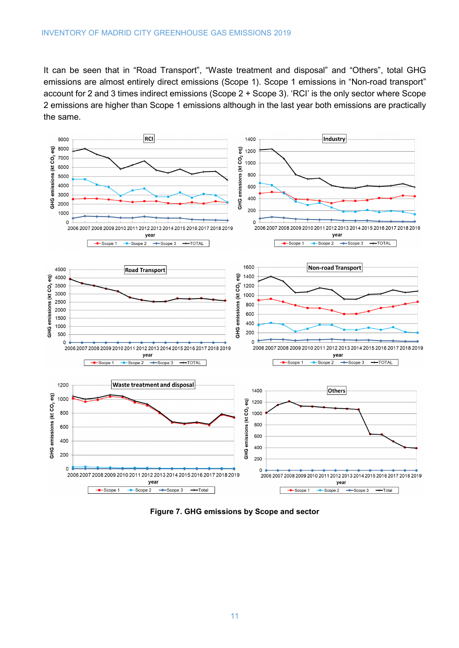It can be seen that in "Road Transport", "Waste treatment and disposal" and "Others", total GHG emissions are almost entirely direct emissions (Scope 1). Scope 1 emissions in "Non-road transport" account for 2 and 3 times indirect emissions (Scope 2 + Scope 3). 'RCI' is the only sector where Scope 2 emissions are higher than Scope 1 emissions although in the last year both emissions are practically the same.

![](_page_12_Figure_2.jpeg)

<span id="page-12-0"></span>**Figure 7. GHG emissions by Scope and sector**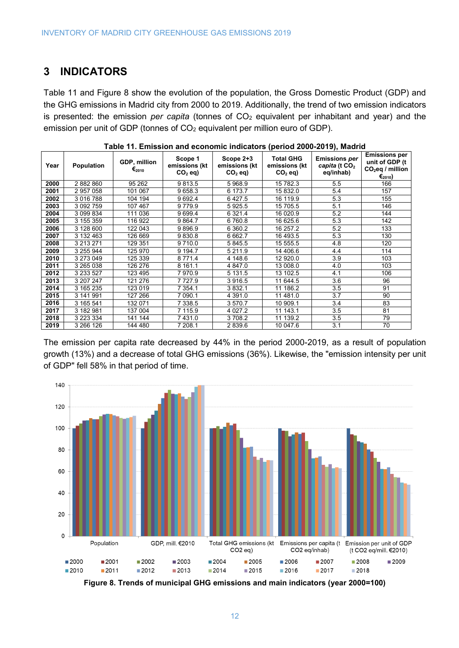## **3 INDICATORS**

[Table 11](#page-13-0) and [Figure 8](#page-13-1) show the evolution of the population, the Gross Domestic Product (GDP) and the GHG emissions in Madrid city from 2000 to 2019. Additionally, the trend of two emission indicators is presented: the emission *per capita* (tonnes of CO<sub>2</sub> equivalent per inhabitant and year) and the emission per unit of GDP (tonnes of CO<sub>2</sub> equivalent per million euro of GDP).

<span id="page-13-0"></span>

| Year | Population    | GDP, million<br>$\epsilon_{\scriptscriptstyle 2010}$ | Scope 1<br>emissions (kt<br>$CO2$ eq) | Scope 2+3<br>emissions (kt<br>$CO2$ eq) | Total GHG<br>emissions (kt<br>$CO2$ eq) | <b>Emissions per</b><br>capita (t $CO2$<br>eq/inhab) | <b>Emissions per</b><br>unit of GDP (t<br>$CO2$ eq / million<br>$\epsilon_{2010}$ ) |
|------|---------------|------------------------------------------------------|---------------------------------------|-----------------------------------------|-----------------------------------------|------------------------------------------------------|-------------------------------------------------------------------------------------|
| 2000 | 2 882 860     | 95 262                                               | 9813.5                                | 5 968.9                                 | 15 782.3                                | 5.5                                                  | 166                                                                                 |
| 2001 | 2957058       | 101 067                                              | 9658.3                                | 6 173.7                                 | 15 832.0                                | 5.4                                                  | 157                                                                                 |
| 2002 | 3 016 788     | 104 194                                              | 9 6 9 2.4                             | 6427.5                                  | 16 119.9                                | 5.3                                                  | 155                                                                                 |
| 2003 | 3 092 759     | 107 467                                              | 9779.9                                | 5925.5                                  | 15 705.5                                | 5.1                                                  | 146                                                                                 |
| 2004 | 3 099 834     | 111 036                                              | 9699.4                                | 6 3 2 1.4                               | 16 020.9                                | 5.2                                                  | 144                                                                                 |
| 2005 | 3 155 359     | 116 922                                              | 9864.7                                | 6 760.8                                 | 16 625.6                                | 5.3                                                  | 142                                                                                 |
| 2006 | 3 128 600     | 122 043                                              | 9896.9                                | 6 3 6 0.2                               | 16 257.2                                | 5.2                                                  | 133                                                                                 |
| 2007 | 3 132 463     | 126 669                                              | 9830.8                                | 6 6 6 2.7                               | 16 493.5                                | 5.3                                                  | 130                                                                                 |
| 2008 | 3 213 271     | 129 351                                              | 9 7 1 0.0                             | 5 845.5                                 | 15 555.5                                | 4.8                                                  | 120                                                                                 |
| 2009 | 3 255 944     | 125 970                                              | 9 1 9 4.7                             | 5 2 1 1 .9                              | 14 406.6                                | 4.4                                                  | 114                                                                                 |
| 2010 | 3 273 049     | 125 339                                              | 8 7 7 1.4                             | 4 148.6                                 | 12 920.0                                | 3.9                                                  | 103                                                                                 |
| 2011 | 3 265 038     | 126 276                                              | 8 161.1                               | 4 847.0                                 | 13 008.0                                | 4.0                                                  | 103                                                                                 |
| 2012 | 3 2 3 5 2 7   | 123 495                                              | 7970.9                                | 5 1 3 1 . 5                             | 13 102.5                                | 4.1                                                  | 106                                                                                 |
| 2013 | 3 207 247     | 121 276                                              | 7 7 2 7 . 9                           | 3 916.5                                 | 11 644.5                                | 3.6                                                  | 96                                                                                  |
| 2014 | 3 165 235     | 123 019                                              | 7 354.1                               | 3832.1                                  | 11 186.2                                | 3.5                                                  | 91                                                                                  |
| 2015 | 3 141 991     | 127 266                                              | 7 090.1                               | 4 3 9 1 .0                              | 11 481.0                                | 3.7                                                  | 90                                                                                  |
| 2016 | 3 165 541     | 132 071                                              | 7 338.5                               | 3 570.7                                 | 10 909.1                                | 3.4                                                  | 83                                                                                  |
| 2017 | 3 182 981     | 137 004                                              | 7 115.9                               | 4 0 27.2                                | 11 143.1                                | 3.5                                                  | 81                                                                                  |
| 2018 | 3 2 2 3 3 3 4 | 141 144                                              | 7431.0                                | 3708.2                                  | 11 139.2                                | 3.5                                                  | 79                                                                                  |
| 2019 | 3 266 126     | 144 480                                              | 7 208.1                               | 2839.6                                  | 10 047.6                                | 3.1                                                  | 70                                                                                  |

| Table 11. Emission and economic indicators (period 2000-2019), Madrid |  |
|-----------------------------------------------------------------------|--|
|-----------------------------------------------------------------------|--|

The emission per capita rate decreased by 44% in the period 2000-2019, as a result of population growth (13%) and a decrease of total GHG emissions (36%). Likewise, the "emission intensity per unit of GDP" fell 58% in that period of time.

![](_page_13_Figure_6.jpeg)

<span id="page-13-1"></span>![](_page_13_Figure_7.jpeg)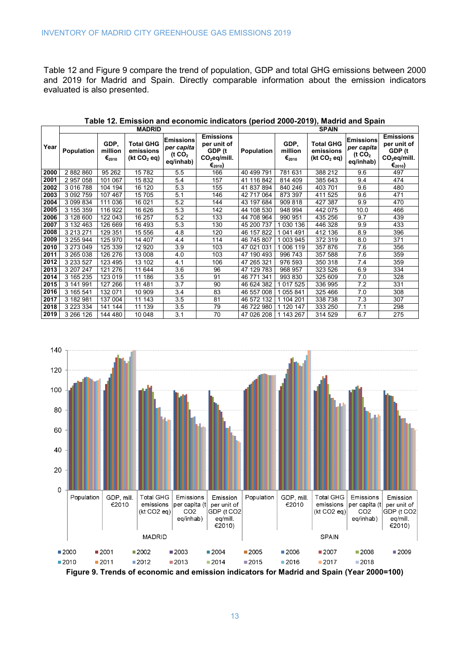[Table 12](#page-14-0) and [Figure 9](#page-14-1) compare the trend of population, GDP and total GHG emissions between 2000 and 2019 for Madrid and Spain. Directly comparable information about the emission indicators evaluated is also presented.

<span id="page-14-0"></span>

|      | <b>MADRID</b> |                                                          |                                                          |                                                                   |                                                                                  | <b>SPAIN</b> |                                             |                                                          |                                                                   |                                                                                                   |  |
|------|---------------|----------------------------------------------------------|----------------------------------------------------------|-------------------------------------------------------------------|----------------------------------------------------------------------------------|--------------|---------------------------------------------|----------------------------------------------------------|-------------------------------------------------------------------|---------------------------------------------------------------------------------------------------|--|
| Year | Population    | GDP.<br>million<br>$\boldsymbol{\epsilon}_{\text{2010}}$ | <b>Total GHG</b><br>emissions<br>(kt CO <sub>2</sub> eq) | <b>Emissions</b><br>per capita<br>( $t \text{ CO}_2$<br>eq/inhab) | <b>Emissions</b><br>per unit of<br>GDP (t<br>$CO2$ eq/mill.<br>€ <sub>2010</sub> | Population   | GDP.<br>million<br>$\epsilon_{\text{2010}}$ | <b>Total GHG</b><br>emissions<br>(kt CO <sub>2</sub> eq) | <b>Emissions</b><br>per capita<br>( $t \text{ CO}_2$<br>eq/inhab) | <b>Emissions</b><br>per unit of<br>GDP (t<br>CO <sub>2</sub> eq/mill.<br>$\epsilon_{\text{2010}}$ |  |
| 2000 | 2882860       | 95 262                                                   | 15782                                                    | 5.5                                                               | 166                                                                              | 40 499 791   | 781 631                                     | 388 212                                                  | 9.6                                                               | 497                                                                                               |  |
| 2001 | 2957058       | 101 067                                                  | 15832                                                    | 5.4                                                               | 157                                                                              | 41 116 842   | 814 409                                     | 385 643                                                  | 9.4                                                               | 474                                                                                               |  |
| 2002 | 3 0 16 7 88   | 104 194                                                  | 16 120                                                   | 5.3                                                               | 155                                                                              | 41 837 894   | 840 246                                     | 403 701                                                  | 9.6                                                               | 480                                                                                               |  |
| 2003 | 3 0 9 2 7 5 9 | 107 467                                                  | 15 705                                                   | 5.1                                                               | 146                                                                              | 42 717 064   | 873 397                                     | 411 525                                                  | 9.6                                                               | 471                                                                                               |  |
| 2004 | 3 099 834     | 111 036                                                  | 16 021                                                   | 5.2                                                               | 144                                                                              | 43 197 684   | 909 818                                     | 427 387                                                  | 9.9                                                               | 470                                                                                               |  |
| 2005 | 3 155 359     | 116 922                                                  | 16 626                                                   | 5.3                                                               | 142                                                                              | 44 108 530   | 948 994                                     | 442 075                                                  | 10.0                                                              | 466                                                                                               |  |
| 2006 | 3 128 600     | 122 043                                                  | 16 257                                                   | 5.2                                                               | 133                                                                              | 44 708 964   | 990 951                                     | 435 256                                                  | 9.7                                                               | 439                                                                                               |  |
| 2007 | 3 132 463     | 126 669                                                  | 16 493                                                   | 5.3                                                               | 130                                                                              | 45 200 737   | 1 030 136                                   | 446 328                                                  | 9.9                                                               | 433                                                                                               |  |
| 2008 | 3 213 271     | 129 351                                                  | 15 556                                                   | 4.8                                                               | 120                                                                              | 46 157 822   | 1 041 491                                   | 412 136                                                  | 8.9                                                               | 396                                                                                               |  |
| 2009 | 3 255 944     | 125 970                                                  | 14 407                                                   | 4.4                                                               | 114                                                                              | 46 745 807   | 1 003 945                                   | 372 319                                                  | 8.0                                                               | 371                                                                                               |  |
| 2010 | 3 273 049     | 125 339                                                  | 12 9 20                                                  | 3.9                                                               | 103                                                                              | 47 021 031   | 1 006 119                                   | 357 876                                                  | 7.6                                                               | 356                                                                                               |  |
| 2011 | 3 265 038     | 126 276                                                  | 13 008                                                   | 4.0                                                               | 103                                                                              | 47 190 493   | 996 743                                     | 357 588                                                  | 7.6                                                               | 359                                                                                               |  |
| 2012 | 3 2 3 5 2 7   | 123 495                                                  | 13 102                                                   | 4.1                                                               | 106                                                                              | 47 265 321   | 976 593                                     | 350 318                                                  | 7.4                                                               | 359                                                                                               |  |
| 2013 | 3 207 247     | 121 276                                                  | 11 644                                                   | 3.6                                                               | 96                                                                               | 47 129 783   | 968 957                                     | 323 526                                                  | 6.9                                                               | 334                                                                                               |  |
| 2014 | 3 165 235     | 123 019                                                  | 11 186                                                   | 3.5                                                               | 91                                                                               | 46 771 341   | 993 830                                     | 325 609                                                  | 7.0                                                               | 328                                                                                               |  |
| 2015 | 3 141 991     | 127 266                                                  | 11 481                                                   | 3.7                                                               | 90                                                                               | 46 624 382   | 1 0 1 7 5 2 5                               | 336 995                                                  | 7.2                                                               | 331                                                                                               |  |
| 2016 | 3 165 541     | 132 071                                                  | 10 909                                                   | 3.4                                                               | 83                                                                               | 46 557 008   | 1 055 841                                   | 325 466                                                  | 7.0                                                               | 308                                                                                               |  |
| 2017 | 3 182 981     | 137 004                                                  | 11 143                                                   | 3.5                                                               | 81                                                                               | 46 572 132   | 1 104 201                                   | 338 738                                                  | 7.3                                                               | 307                                                                                               |  |
| 2018 | 3 2 2 3 3 3 4 | 141 144                                                  | 11 139                                                   | 3.5                                                               | 79                                                                               | 46 722 980   | 1 120 147                                   | 333 250                                                  | 7.1                                                               | 298                                                                                               |  |
| 2019 | 3 266 126     | 144 480                                                  | 10 048                                                   | 3.1                                                               | 70                                                                               | 47 026 208   | 1 143 267                                   | 314 529                                                  | 6.7                                                               | 275                                                                                               |  |

**Table 12. Emission and economic indicators (period 2000-2019), Madrid and Spain** 

![](_page_14_Figure_4.jpeg)

<span id="page-14-1"></span>**Figure 9. Trends of economic and emission indicators for Madrid and Spain (Year 2000=100)**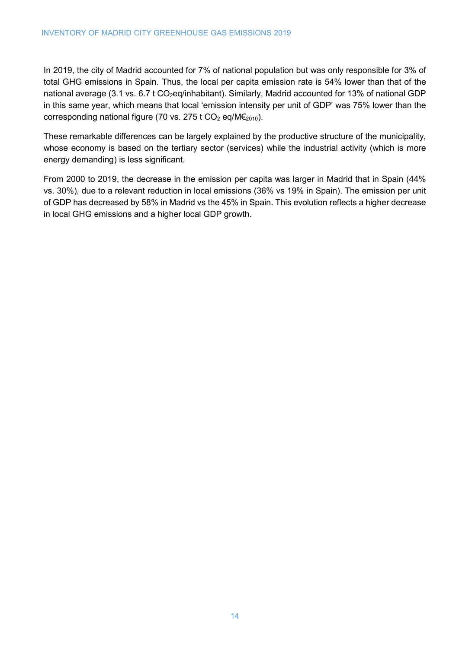In 2019, the city of Madrid accounted for 7% of national population but was only responsible for 3% of total GHG emissions in Spain. Thus, the local per capita emission rate is 54% lower than that of the national average (3.1 vs. 6.7 t CO<sub>2</sub>eq/inhabitant). Similarly, Madrid accounted for 13% of national GDP in this same year, which means that local 'emission intensity per unit of GDP' was 75% lower than the corresponding national figure (70 vs. 275 t CO<sub>2</sub> eq/M $\epsilon_{2010}$ ).

These remarkable differences can be largely explained by the productive structure of the municipality, whose economy is based on the tertiary sector (services) while the industrial activity (which is more energy demanding) is less significant.

From 2000 to 2019, the decrease in the emission per capita was larger in Madrid that in Spain (44% vs. 30%), due to a relevant reduction in local emissions (36% vs 19% in Spain). The emission per unit of GDP has decreased by 58% in Madrid vs the 45% in Spain. This evolution reflects a higher decrease in local GHG emissions and a higher local GDP growth.